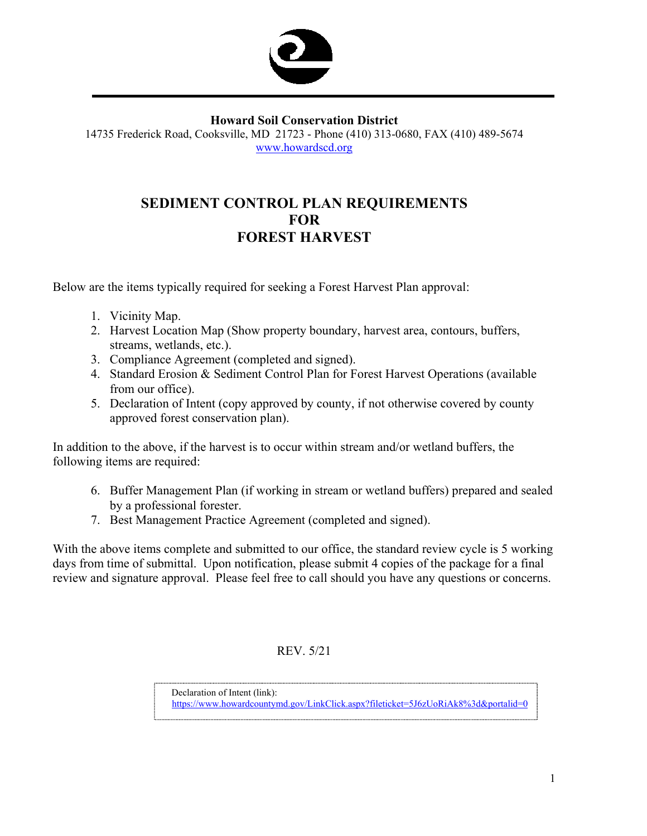

#### **Howard Soil Conservation District**

14735 Frederick Road, Cooksville, MD 21723 - Phone (410) 313-0680, FAX (410) 489-5674 www.howardscd.org

# **SEDIMENT CONTROL PLAN REQUIREMENTS FOR FOREST HARVEST**

Below are the items typically required for seeking a Forest Harvest Plan approval:

- 1. Vicinity Map.
- 2. Harvest Location Map (Show property boundary, harvest area, contours, buffers, streams, wetlands, etc.).
- 3. Compliance Agreement (completed and signed).
- 4. Standard Erosion & Sediment Control Plan for Forest Harvest Operations (available from our office).
- 5. Declaration of Intent (copy approved by county, if not otherwise covered by county approved forest conservation plan).

In addition to the above, if the harvest is to occur within stream and/or wetland buffers, the following items are required:

- 6. Buffer Management Plan (if working in stream or wetland buffers) prepared and sealed by a professional forester.
- 7. Best Management Practice Agreement (completed and signed).

With the above items complete and submitted to our office, the standard review cycle is 5 working days from time of submittal. Upon notification, please submit 4 copies of the package for a final review and signature approval. Please feel free to call should you have any questions or concerns.

### REV. 5/21

Declaration of Intent (link):

https://www.howardcountymd.gov/LinkClick.aspx?fileticket=5J6zUoRiAk8%3d&portalid=0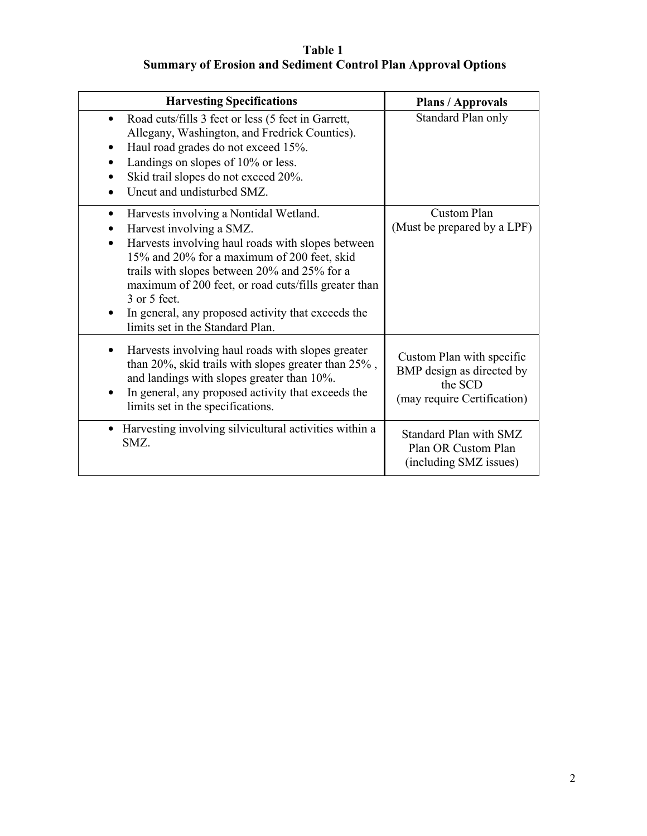# **Table 1 Summary of Erosion and Sediment Control Plan Approval Options**

| <b>Harvesting Specifications</b>                                                                                                                                                                                                                                                                                                                                                                                        | <b>Plans / Approvals</b>                                                                         |
|-------------------------------------------------------------------------------------------------------------------------------------------------------------------------------------------------------------------------------------------------------------------------------------------------------------------------------------------------------------------------------------------------------------------------|--------------------------------------------------------------------------------------------------|
| Road cuts/fills 3 feet or less (5 feet in Garrett,<br>Allegany, Washington, and Fredrick Counties).<br>Haul road grades do not exceed 15%.<br>٠<br>Landings on slopes of 10% or less.<br>Skid trail slopes do not exceed 20%.<br>Uncut and undisturbed SMZ.                                                                                                                                                             | Standard Plan only                                                                               |
| Harvests involving a Nontidal Wetland.<br>$\bullet$<br>Harvest involving a SMZ.<br>٠<br>Harvests involving haul roads with slopes between<br>15% and 20% for a maximum of 200 feet, skid<br>trails with slopes between 20% and 25% for a<br>maximum of 200 feet, or road cuts/fills greater than<br>3 or 5 feet.<br>In general, any proposed activity that exceeds the<br>$\bullet$<br>limits set in the Standard Plan. | Custom Plan<br>(Must be prepared by a LPF)                                                       |
| Harvests involving haul roads with slopes greater<br>٠<br>than 20%, skid trails with slopes greater than $25\%$ ,<br>and landings with slopes greater than 10%.<br>In general, any proposed activity that exceeds the<br>limits set in the specifications.                                                                                                                                                              | Custom Plan with specific<br>BMP design as directed by<br>the SCD<br>(may require Certification) |
| • Harvesting involving silvicultural activities within a<br>SMZ.                                                                                                                                                                                                                                                                                                                                                        | <b>Standard Plan with SMZ</b><br>Plan OR Custom Plan<br>(including SMZ issues)                   |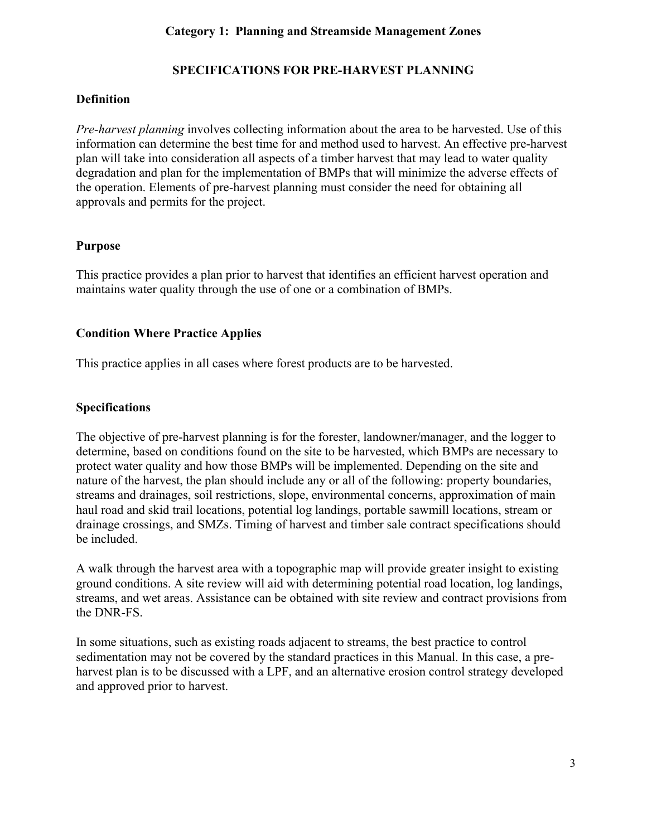# **SPECIFICATIONS FOR PRE-HARVEST PLANNING**

### **Definition**

*Pre-harvest planning* involves collecting information about the area to be harvested. Use of this information can determine the best time for and method used to harvest. An effective pre-harvest plan will take into consideration all aspects of a timber harvest that may lead to water quality degradation and plan for the implementation of BMPs that will minimize the adverse effects of the operation. Elements of pre-harvest planning must consider the need for obtaining all approvals and permits for the project.

### **Purpose**

This practice provides a plan prior to harvest that identifies an efficient harvest operation and maintains water quality through the use of one or a combination of BMPs.

## **Condition Where Practice Applies**

This practice applies in all cases where forest products are to be harvested.

## **Specifications**

The objective of pre-harvest planning is for the forester, landowner/manager, and the logger to determine, based on conditions found on the site to be harvested, which BMPs are necessary to protect water quality and how those BMPs will be implemented. Depending on the site and nature of the harvest, the plan should include any or all of the following: property boundaries, streams and drainages, soil restrictions, slope, environmental concerns, approximation of main haul road and skid trail locations, potential log landings, portable sawmill locations, stream or drainage crossings, and SMZs. Timing of harvest and timber sale contract specifications should be included.

A walk through the harvest area with a topographic map will provide greater insight to existing ground conditions. A site review will aid with determining potential road location, log landings, streams, and wet areas. Assistance can be obtained with site review and contract provisions from the DNR-FS.

In some situations, such as existing roads adjacent to streams, the best practice to control sedimentation may not be covered by the standard practices in this Manual. In this case, a preharvest plan is to be discussed with a LPF, and an alternative erosion control strategy developed and approved prior to harvest.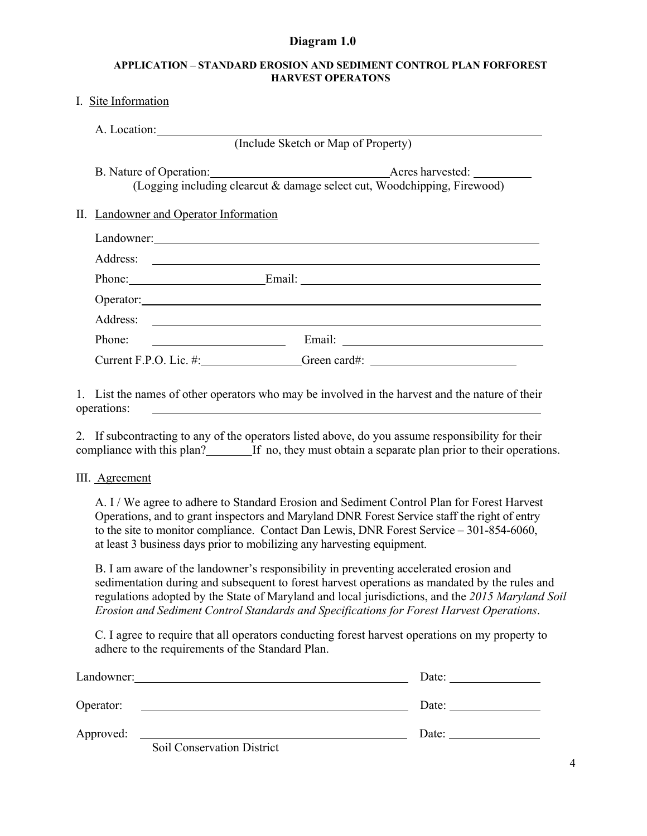#### **Diagram 1.0**

#### **APPLICATION – STANDARD EROSION AND SEDIMENT CONTROL PLAN FORFOREST HARVEST OPERATONS**

#### I. Site Information

| A. Location:                                                             |  |  |
|--------------------------------------------------------------------------|--|--|
| (Include Sketch or Map of Property)                                      |  |  |
| (Logging including clearcut & damage select cut, Woodchipping, Firewood) |  |  |
| II. Landowner and Operator Information                                   |  |  |
|                                                                          |  |  |
|                                                                          |  |  |
| Phone: Email: Email:                                                     |  |  |
| Operator:                                                                |  |  |
|                                                                          |  |  |
| Phone:                                                                   |  |  |
| Current F.P.O. Lic. #:                                                   |  |  |

1. List the names of other operators who may be involved in the harvest and the nature of their operations:

2. If subcontracting to any of the operators listed above, do you assume responsibility for their compliance with this plan? If no, they must obtain a separate plan prior to their operations.

III. Agreement

A. I / We agree to adhere to Standard Erosion and Sediment Control Plan for Forest Harvest Operations, and to grant inspectors and Maryland DNR Forest Service staff the right of entry to the site to monitor compliance. Contact Dan Lewis, DNR Forest Service – 301-854-6060, at least 3 business days prior to mobilizing any harvesting equipment.

B. I am aware of the landowner's responsibility in preventing accelerated erosion and sedimentation during and subsequent to forest harvest operations as mandated by the rules and regulations adopted by the State of Maryland and local jurisdictions, and the *2015 Maryland Soil Erosion and Sediment Control Standards and Specifications for Forest Harvest Operations*.

C. I agree to require that all operators conducting forest harvest operations on my property to adhere to the requirements of the Standard Plan.

| Landowner: |                                   | Date: |
|------------|-----------------------------------|-------|
| Operator:  |                                   | Date: |
| Approved:  | <b>Soil Conservation District</b> | Date: |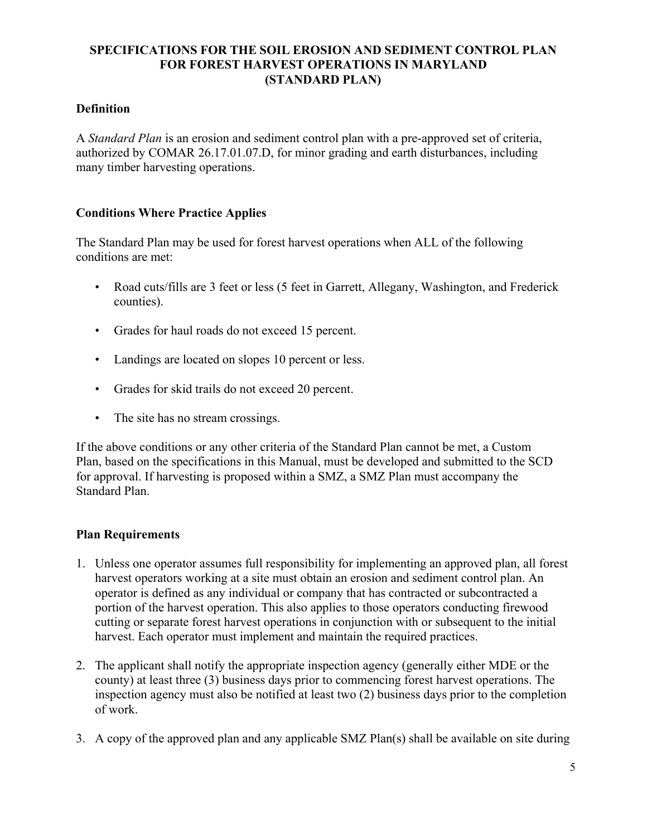### **SPECIFICATIONS FOR THE SOIL EROSION AND SEDIMENT CONTROL PLAN FOR FOREST HARVEST OPERATIONS IN MARYLAND (STANDARD PLAN)**

### **Definition**

A *Standard Plan* is an erosion and sediment control plan with a pre-approved set of criteria, authorized by COMAR 26.17.01.07.D, for minor grading and earth disturbances, including many timber harvesting operations.

#### **Conditions Where Practice Applies**

The Standard Plan may be used for forest harvest operations when ALL of the following conditions are met:

- Road cuts/fills are 3 feet or less (5 feet in Garrett, Allegany, Washington, and Frederick counties).
- Grades for haul roads do not exceed 15 percent.
- Landings are located on slopes 10 percent or less.
- Grades for skid trails do not exceed 20 percent.
- The site has no stream crossings.

If the above conditions or any other criteria of the Standard Plan cannot be met, a Custom Plan, based on the specifications in this Manual, must be developed and submitted to the SCD for approval. If harvesting is proposed within a SMZ, a SMZ Plan must accompany the Standard Plan.

### **Plan Requirements**

- 1. Unless one operator assumes full responsibility for implementing an approved plan, all forest harvest operators working at a site must obtain an erosion and sediment control plan. An operator is defined as any individual or company that has contracted or subcontracted a portion of the harvest operation. This also applies to those operators conducting firewood cutting or separate forest harvest operations in conjunction with or subsequent to the initial harvest. Each operator must implement and maintain the required practices.
- 2. The applicant shall notify the appropriate inspection agency (generally either MDE or the county) at least three (3) business days prior to commencing forest harvest operations. The inspection agency must also be notified at least two (2) business days prior to the completion of work.
- 3. A copy of the approved plan and any applicable SMZ Plan(s) shall be available on site during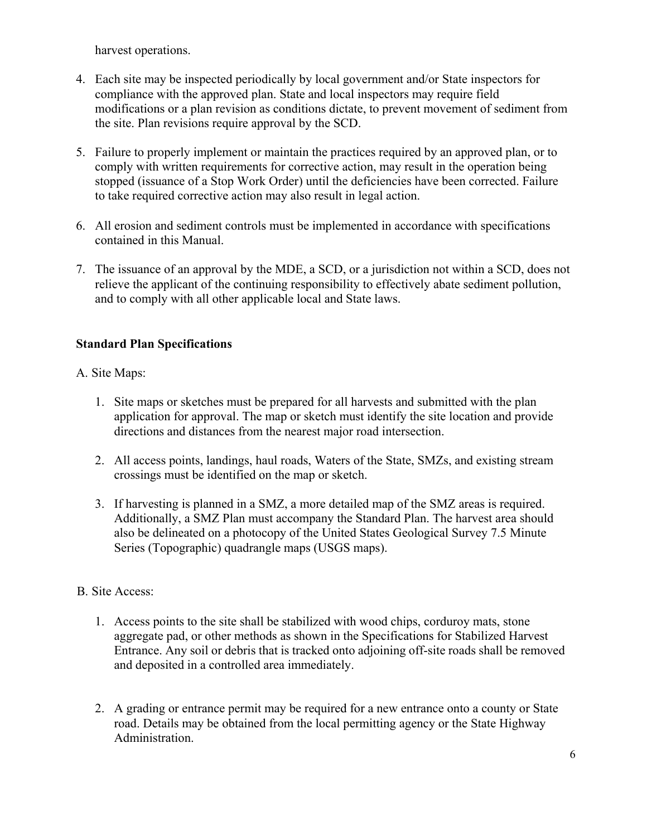harvest operations.

- 4. Each site may be inspected periodically by local government and/or State inspectors for compliance with the approved plan. State and local inspectors may require field modifications or a plan revision as conditions dictate, to prevent movement of sediment from the site. Plan revisions require approval by the SCD.
- 5. Failure to properly implement or maintain the practices required by an approved plan, or to comply with written requirements for corrective action, may result in the operation being stopped (issuance of a Stop Work Order) until the deficiencies have been corrected. Failure to take required corrective action may also result in legal action.
- 6. All erosion and sediment controls must be implemented in accordance with specifications contained in this Manual.
- 7. The issuance of an approval by the MDE, a SCD, or a jurisdiction not within a SCD, does not relieve the applicant of the continuing responsibility to effectively abate sediment pollution, and to comply with all other applicable local and State laws.

## **Standard Plan Specifications**

### A. Site Maps:

- 1. Site maps or sketches must be prepared for all harvests and submitted with the plan application for approval. The map or sketch must identify the site location and provide directions and distances from the nearest major road intersection.
- 2. All access points, landings, haul roads, Waters of the State, SMZs, and existing stream crossings must be identified on the map or sketch.
- 3. If harvesting is planned in a SMZ, a more detailed map of the SMZ areas is required. Additionally, a SMZ Plan must accompany the Standard Plan. The harvest area should also be delineated on a photocopy of the United States Geological Survey 7.5 Minute Series (Topographic) quadrangle maps (USGS maps).

#### B. Site Access:

- 1. Access points to the site shall be stabilized with wood chips, corduroy mats, stone aggregate pad, or other methods as shown in the Specifications for Stabilized Harvest Entrance. Any soil or debris that is tracked onto adjoining off-site roads shall be removed and deposited in a controlled area immediately.
- 2. A grading or entrance permit may be required for a new entrance onto a county or State road. Details may be obtained from the local permitting agency or the State Highway Administration.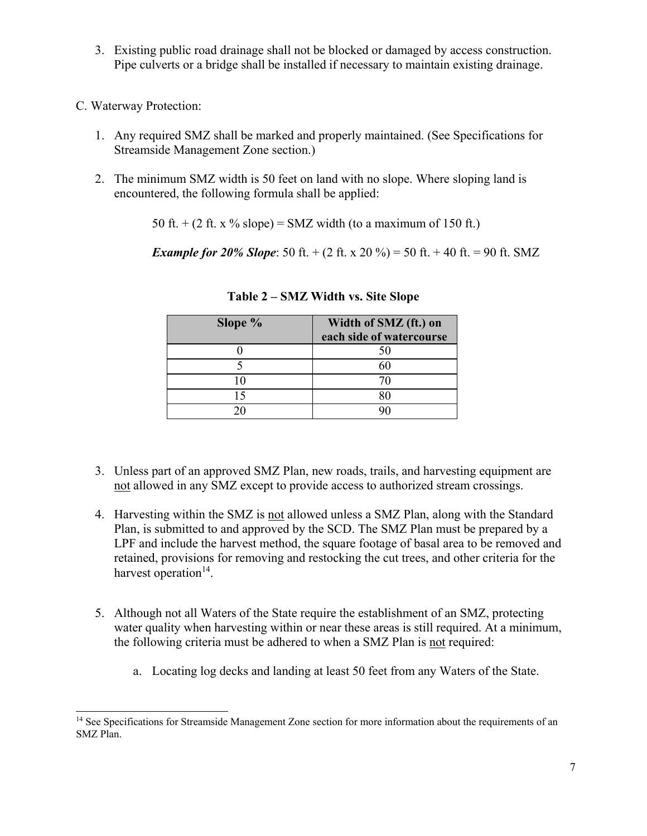- 3. Existing public road drainage shall not be blocked or damaged by access construction. Pipe culverts or a bridge shall be installed if necessary to maintain existing drainage.
- C. Waterway Protection:
	- 1. Any required SMZ shall be marked and properly maintained. (See Specifications for Streamside Management Zone section.)
	- 2. The minimum SMZ width is 50 feet on land with no slope. Where sloping land is encountered, the following formula shall be applied:

50 ft.  $+$  (2 ft. x % slope) = SMZ width (to a maximum of 150 ft.)

*Example for 20% Slope*: 50 ft.  $+(2 \text{ ft. x } 20 \%) = 50 \text{ ft.} + 40 \text{ ft.} = 90 \text{ ft.}$  SMZ

| Slope % | Width of SMZ (ft.) on<br>each side of watercourse |
|---------|---------------------------------------------------|
|         | 50                                                |
|         |                                                   |
|         |                                                   |
|         |                                                   |
|         |                                                   |

**Table 2 – SMZ Width vs. Site Slope** 

- 3. Unless part of an approved SMZ Plan, new roads, trails, and harvesting equipment are not allowed in any SMZ except to provide access to authorized stream crossings.
- 4. Harvesting within the SMZ is not allowed unless a SMZ Plan, along with the Standard Plan, is submitted to and approved by the SCD. The SMZ Plan must be prepared by a LPF and include the harvest method, the square footage of basal area to be removed and retained, provisions for removing and restocking the cut trees, and other criteria for the harvest operation $14$ .
- 5. Although not all Waters of the State require the establishment of an SMZ, protecting water quality when harvesting within or near these areas is still required. At a minimum, the following criteria must be adhered to when a SMZ Plan is not required:
	- a. Locating log decks and landing at least 50 feet from any Waters of the State.

<sup>&</sup>lt;sup>14</sup> See Specifications for Streamside Management Zone section for more information about the requirements of an SMZ Plan.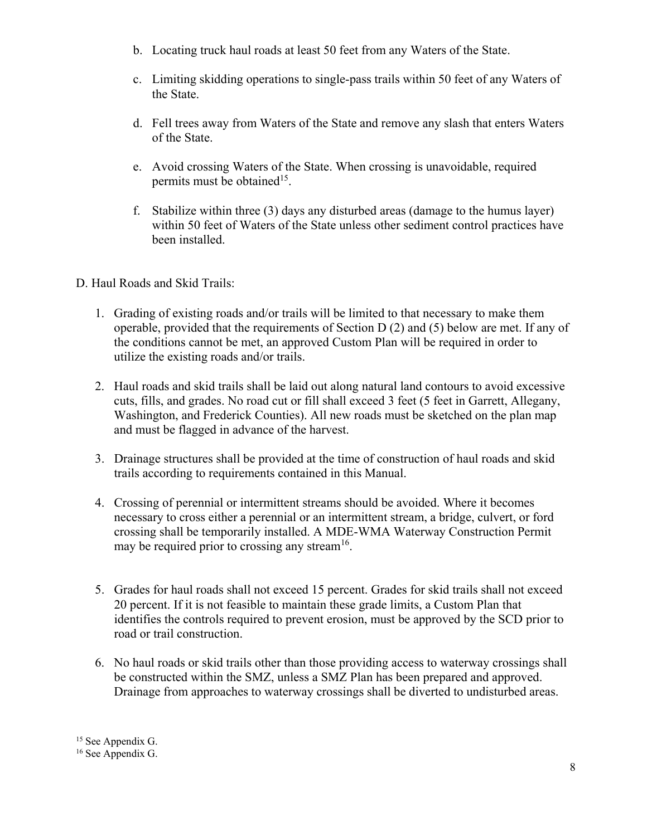- b. Locating truck haul roads at least 50 feet from any Waters of the State.
- c. Limiting skidding operations to single-pass trails within 50 feet of any Waters of the State.
- d. Fell trees away from Waters of the State and remove any slash that enters Waters of the State.
- e. Avoid crossing Waters of the State. When crossing is unavoidable, required permits must be obtained<sup>15</sup>.
- f. Stabilize within three (3) days any disturbed areas (damage to the humus layer) within 50 feet of Waters of the State unless other sediment control practices have been installed.

## D. Haul Roads and Skid Trails:

- 1. Grading of existing roads and/or trails will be limited to that necessary to make them operable, provided that the requirements of Section D (2) and (5) below are met. If any of the conditions cannot be met, an approved Custom Plan will be required in order to utilize the existing roads and/or trails.
- 2. Haul roads and skid trails shall be laid out along natural land contours to avoid excessive cuts, fills, and grades. No road cut or fill shall exceed 3 feet (5 feet in Garrett, Allegany, Washington, and Frederick Counties). All new roads must be sketched on the plan map and must be flagged in advance of the harvest.
- 3. Drainage structures shall be provided at the time of construction of haul roads and skid trails according to requirements contained in this Manual.
- 4. Crossing of perennial or intermittent streams should be avoided. Where it becomes necessary to cross either a perennial or an intermittent stream, a bridge, culvert, or ford crossing shall be temporarily installed. A MDE-WMA Waterway Construction Permit may be required prior to crossing any stream<sup>16</sup>.
- 5. Grades for haul roads shall not exceed 15 percent. Grades for skid trails shall not exceed 20 percent. If it is not feasible to maintain these grade limits, a Custom Plan that identifies the controls required to prevent erosion, must be approved by the SCD prior to road or trail construction.
- 6. No haul roads or skid trails other than those providing access to waterway crossings shall be constructed within the SMZ, unless a SMZ Plan has been prepared and approved. Drainage from approaches to waterway crossings shall be diverted to undisturbed areas.

<sup>&</sup>lt;sup>15</sup> See Appendix G. <sup>16</sup> See Appendix G.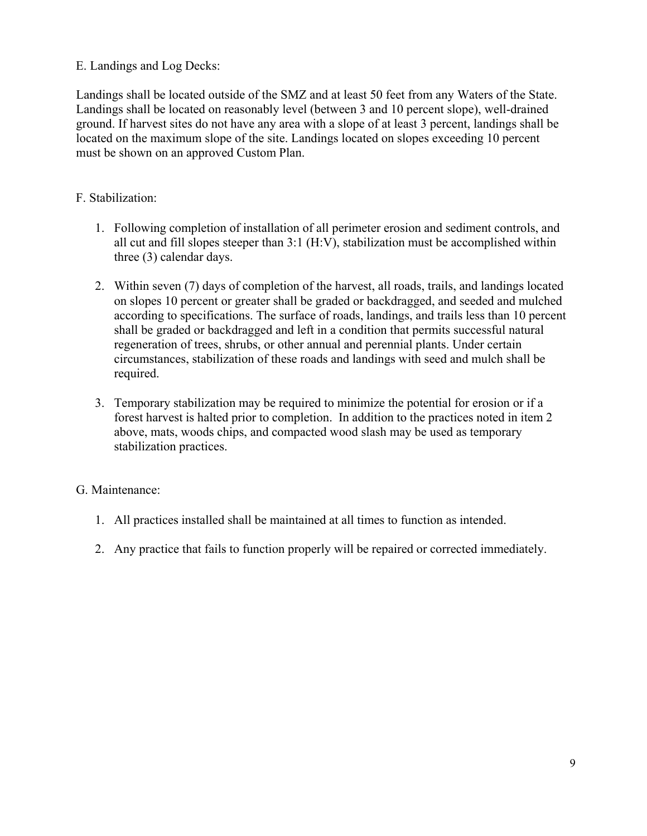### E. Landings and Log Decks:

Landings shall be located outside of the SMZ and at least 50 feet from any Waters of the State. Landings shall be located on reasonably level (between 3 and 10 percent slope), well-drained ground. If harvest sites do not have any area with a slope of at least 3 percent, landings shall be located on the maximum slope of the site. Landings located on slopes exceeding 10 percent must be shown on an approved Custom Plan.

### F. Stabilization:

- 1. Following completion of installation of all perimeter erosion and sediment controls, and all cut and fill slopes steeper than 3:1 (H:V), stabilization must be accomplished within three (3) calendar days.
- 2. Within seven (7) days of completion of the harvest, all roads, trails, and landings located on slopes 10 percent or greater shall be graded or backdragged, and seeded and mulched according to specifications. The surface of roads, landings, and trails less than 10 percent shall be graded or backdragged and left in a condition that permits successful natural regeneration of trees, shrubs, or other annual and perennial plants. Under certain circumstances, stabilization of these roads and landings with seed and mulch shall be required.
- 3. Temporary stabilization may be required to minimize the potential for erosion or if a forest harvest is halted prior to completion. In addition to the practices noted in item 2 above, mats, woods chips, and compacted wood slash may be used as temporary stabilization practices.

#### G. Maintenance:

- 1. All practices installed shall be maintained at all times to function as intended.
- 2. Any practice that fails to function properly will be repaired or corrected immediately.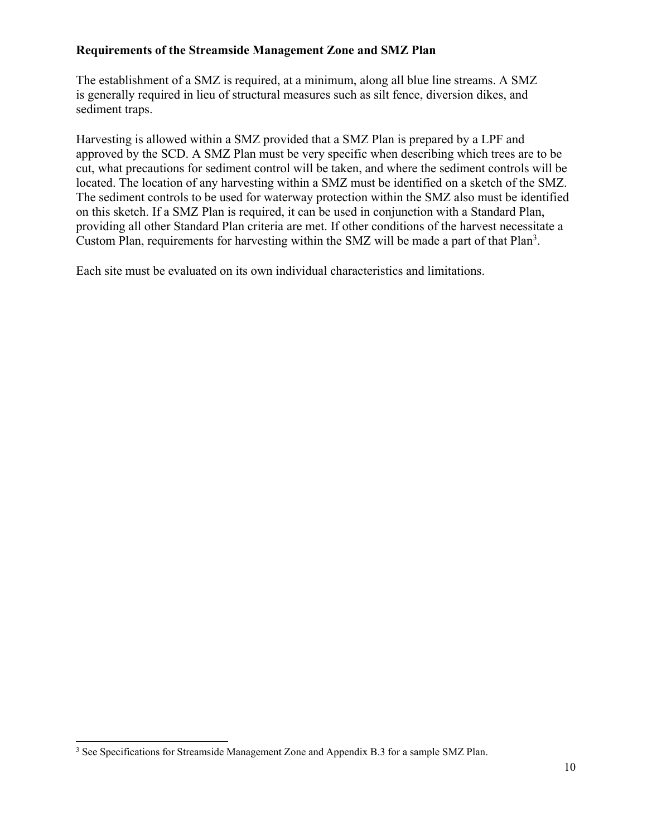### **Requirements of the Streamside Management Zone and SMZ Plan**

The establishment of a SMZ is required, at a minimum, along all blue line streams. A SMZ is generally required in lieu of structural measures such as silt fence, diversion dikes, and sediment traps.

Harvesting is allowed within a SMZ provided that a SMZ Plan is prepared by a LPF and approved by the SCD. A SMZ Plan must be very specific when describing which trees are to be cut, what precautions for sediment control will be taken, and where the sediment controls will be located. The location of any harvesting within a SMZ must be identified on a sketch of the SMZ. The sediment controls to be used for waterway protection within the SMZ also must be identified on this sketch. If a SMZ Plan is required, it can be used in conjunction with a Standard Plan, providing all other Standard Plan criteria are met. If other conditions of the harvest necessitate a Custom Plan, requirements for harvesting within the SMZ will be made a part of that Plan<sup>3</sup>.

Each site must be evaluated on its own individual characteristics and limitations.

<sup>&</sup>lt;sup>3</sup> See Specifications for Streamside Management Zone and Appendix B.3 for a sample SMZ Plan.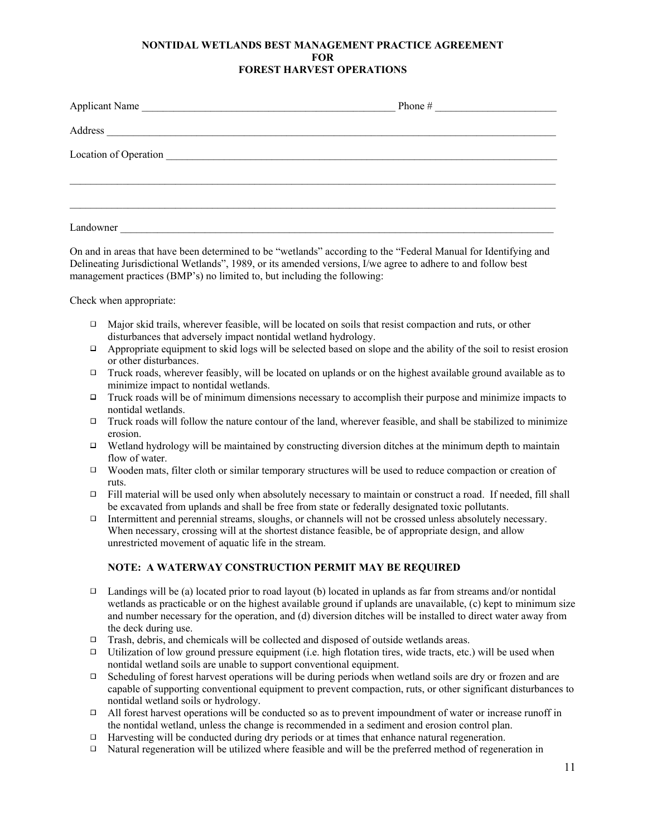#### **NONTIDAL WETLANDS BEST MANAGEMENT PRACTICE AGREEMENT FOR FOREST HARVEST OPERATIONS**

| Applicant Name                                                                                                                                | Phone #<br><u> 1980 - Andrea Station Barbara, amerikan per</u> |
|-----------------------------------------------------------------------------------------------------------------------------------------------|----------------------------------------------------------------|
| Address                                                                                                                                       |                                                                |
| Location of Operation<br><u> 1980 - Jan Stein Stein Stein Stein Stein Stein Stein Stein Stein Stein Stein Stein Stein Stein Stein Stein S</u> |                                                                |
|                                                                                                                                               |                                                                |
| Landowner                                                                                                                                     |                                                                |

On and in areas that have been determined to be "wetlands" according to the "Federal Manual for Identifying and Delineating Jurisdictional Wetlands", 1989, or its amended versions, I/we agree to adhere to and follow best management practices (BMP's) no limited to, but including the following:

Check when appropriate:

- Major skid trails, wherever feasible, will be located on soils that resist compaction and ruts, or other  $\Box$ disturbances that adversely impact nontidal wetland hydrology.
- $\Box$ Appropriate equipment to skid logs will be selected based on slope and the ability of the soil to resist erosion or other disturbances.
- $\Box$  Truck roads, wherever feasibly, will be located on uplands or on the highest available ground available as to minimize impact to nontidal wetlands.
- Truck roads will be of minimum dimensions necessary to accomplish their purpose and minimize impacts to nontidal wetlands.
- Truck roads will follow the nature contour of the land, wherever feasible, and shall be stabilized to minimize  $\Box$ erosion.
- $\Box$ Wetland hydrology will be maintained by constructing diversion ditches at the minimum depth to maintain flow of water.
- $\Box$ Wooden mats, filter cloth or similar temporary structures will be used to reduce compaction or creation of ruts.
- $\Box$  Fill material will be used only when absolutely necessary to maintain or construct a road. If needed, fill shall be excavated from uplands and shall be free from state or federally designated toxic pollutants.
- Intermittent and perennial streams, sloughs, or channels will not be crossed unless absolutely necessary. When necessary, crossing will at the shortest distance feasible, be of appropriate design, and allow unrestricted movement of aquatic life in the stream.

#### **NOTE: A WATERWAY CONSTRUCTION PERMIT MAY BE REQUIRED**

- $\Box$ Landings will be (a) located prior to road layout (b) located in uplands as far from streams and/or nontidal wetlands as practicable or on the highest available ground if uplands are unavailable, (c) kept to minimum size and number necessary for the operation, and (d) diversion ditches will be installed to direct water away from the deck during use.
- $\Box$  Trash, debris, and chemicals will be collected and disposed of outside wetlands areas.
- Utilization of low ground pressure equipment (i.e. high flotation tires, wide tracts, etc.) will be used when nontidal wetland soils are unable to support conventional equipment.
- Scheduling of forest harvest operations will be during periods when wetland soils are dry or frozen and are  $\Box$ capable of supporting conventional equipment to prevent compaction, ruts, or other significant disturbances to nontidal wetland soils or hydrology.
- $\Box$ All forest harvest operations will be conducted so as to prevent impoundment of water or increase runoff in the nontidal wetland, unless the change is recommended in a sediment and erosion control plan.
- Harvesting will be conducted during dry periods or at times that enhance natural regeneration.  $\Box$
- Natural regeneration will be utilized where feasible and will be the preferred method of regeneration in  $\Box$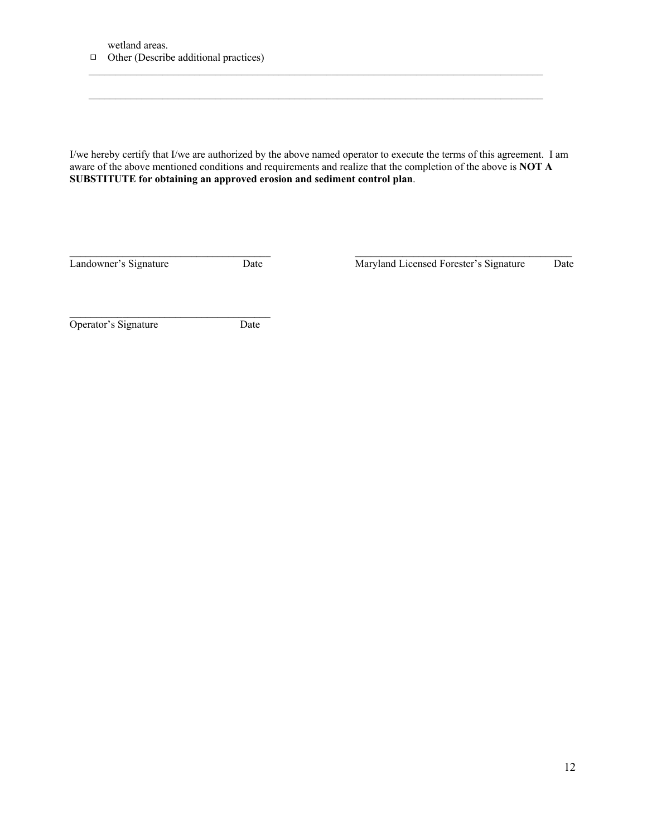wetland areas.



I/we hereby certify that I/we are authorized by the above named operator to execute the terms of this agreement. I am aware of the above mentioned conditions and requirements and realize that the completion of the above is **NOT A SUBSTITUTE for obtaining an approved erosion and sediment control plan**.

 $\mathcal{L}_\mathcal{L} = \{ \mathcal{L}_\mathcal{L} = \{ \mathcal{L}_\mathcal{L} = \{ \mathcal{L}_\mathcal{L} = \{ \mathcal{L}_\mathcal{L} = \{ \mathcal{L}_\mathcal{L} = \{ \mathcal{L}_\mathcal{L} = \{ \mathcal{L}_\mathcal{L} = \{ \mathcal{L}_\mathcal{L} = \{ \mathcal{L}_\mathcal{L} = \{ \mathcal{L}_\mathcal{L} = \{ \mathcal{L}_\mathcal{L} = \{ \mathcal{L}_\mathcal{L} = \{ \mathcal{L}_\mathcal{L} = \{ \mathcal{L}_\mathcal{$ 

 $\mathcal{L}_\mathcal{L} = \{ \mathcal{L}_\mathcal{L} = \{ \mathcal{L}_\mathcal{L} = \{ \mathcal{L}_\mathcal{L} = \{ \mathcal{L}_\mathcal{L} = \{ \mathcal{L}_\mathcal{L} = \{ \mathcal{L}_\mathcal{L} = \{ \mathcal{L}_\mathcal{L} = \{ \mathcal{L}_\mathcal{L} = \{ \mathcal{L}_\mathcal{L} = \{ \mathcal{L}_\mathcal{L} = \{ \mathcal{L}_\mathcal{L} = \{ \mathcal{L}_\mathcal{L} = \{ \mathcal{L}_\mathcal{L} = \{ \mathcal{L}_\mathcal{$ 

 $\mathcal{L}_\mathcal{L} = \{ \mathcal{L}_\mathcal{L} = \{ \mathcal{L}_\mathcal{L} = \{ \mathcal{L}_\mathcal{L} = \{ \mathcal{L}_\mathcal{L} = \{ \mathcal{L}_\mathcal{L} = \{ \mathcal{L}_\mathcal{L} = \{ \mathcal{L}_\mathcal{L} = \{ \mathcal{L}_\mathcal{L} = \{ \mathcal{L}_\mathcal{L} = \{ \mathcal{L}_\mathcal{L} = \{ \mathcal{L}_\mathcal{L} = \{ \mathcal{L}_\mathcal{L} = \{ \mathcal{L}_\mathcal{L} = \{ \mathcal{L}_\mathcal{$ 

Landowner's Signature Date Maryland Licensed Forester's Signature Date

Operator's Signature Date

 $\overline{\phantom{a}}$  , and the set of the set of the set of the set of the set of the set of the set of the set of the set of the set of the set of the set of the set of the set of the set of the set of the set of the set of the s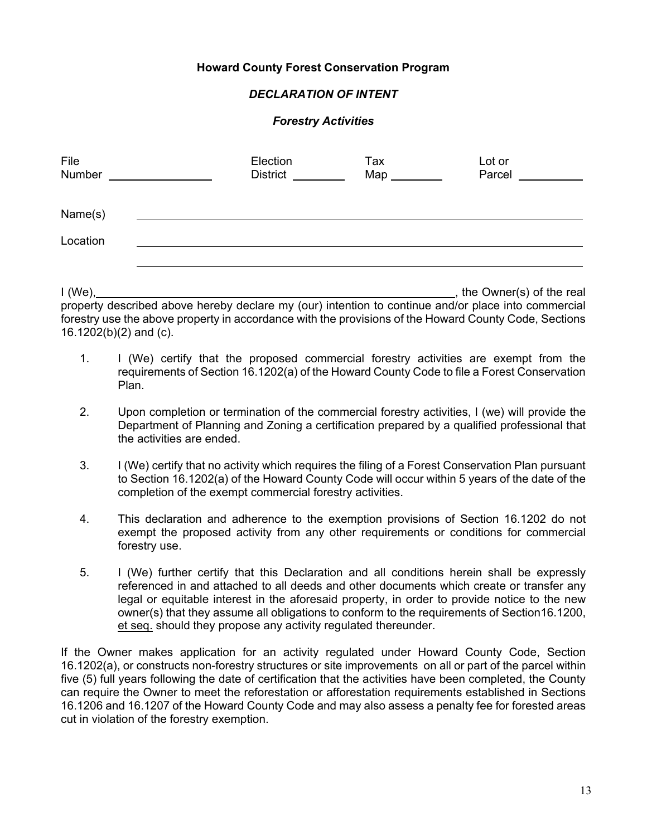#### **Howard County Forest Conservation Program**

#### *DECLARATION OF INTENT*

#### *Forestry Activities*

| File<br>Number      | Election<br><b>District</b> | Tax<br>$Map_$ | Lot or<br>Parcel |
|---------------------|-----------------------------|---------------|------------------|
| Name(s)<br>Location |                             |               |                  |
|                     |                             |               |                  |

I (We), , the Owner(s) of the real property described above hereby declare my (our) intention to continue and/or place into commercial forestry use the above property in accordance with the provisions of the Howard County Code, Sections 16.1202(b)(2) and (c).

- 1. I (We) certify that the proposed commercial forestry activities are exempt from the requirements of Section 16.1202(a) of the Howard County Code to file a Forest Conservation Plan.
- 2. Upon completion or termination of the commercial forestry activities, I (we) will provide the Department of Planning and Zoning a certification prepared by a qualified professional that the activities are ended.
- 3. I (We) certify that no activity which requires the filing of a Forest Conservation Plan pursuant to Section 16.1202(a) of the Howard County Code will occur within 5 years of the date of the completion of the exempt commercial forestry activities.
- 4. This declaration and adherence to the exemption provisions of Section 16.1202 do not exempt the proposed activity from any other requirements or conditions for commercial forestry use.
- 5. I (We) further certify that this Declaration and all conditions herein shall be expressly referenced in and attached to all deeds and other documents which create or transfer any legal or equitable interest in the aforesaid property, in order to provide notice to the new owner(s) that they assume all obligations to conform to the requirements of Section 16.1200, et seq. should they propose any activity regulated thereunder.

If the Owner makes application for an activity regulated under Howard County Code, Section 16.1202(a), or constructs non-forestry structures or site improvements on all or part of the parcel within five (5) full years following the date of certification that the activities have been completed, the County can require the Owner to meet the reforestation or afforestation requirements established in Sections 16.1206 and 16.1207 of the Howard County Code and may also assess a penalty fee for forested areas cut in violation of the forestry exemption.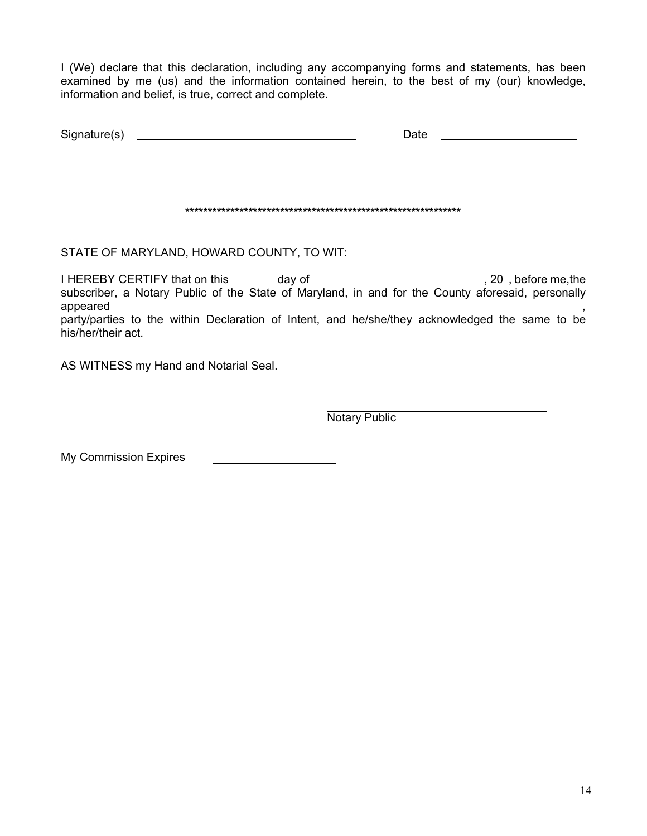I (We) declare that this declaration, including any accompanying forms and statements, has been examined by me (us) and the information contained herein, to the best of my (our) knowledge, information and belief, is true, correct and complete.

| Signature(s) | Date |  |
|--------------|------|--|
|              |      |  |
|              |      |  |
|              |      |  |

STATE OF MARYLAND, HOWARD COUNTY, TO WIT:

I HEREBY CERTIFY that on this \_\_\_\_\_\_\_ day of \_\_\_\_\_\_\_\_\_\_\_\_\_\_\_\_\_\_\_\_\_\_\_\_\_\_\_\_\_\_\_\_, 20\_, before me, the subscriber, a Notary Public of the State of Maryland, in and for the County aforesaid, personally appeared expression and the contract of the contract of the contract of the contract of the contract of the contract of the contract of the contract of the contract of the contract of the contract of the contract of the co party/parties to the within Declaration of Intent, and he/she/they acknowledged the same to be his/her/their act.

AS WITNESS my Hand and Notarial Seal.

Notary Public

My Commission Expires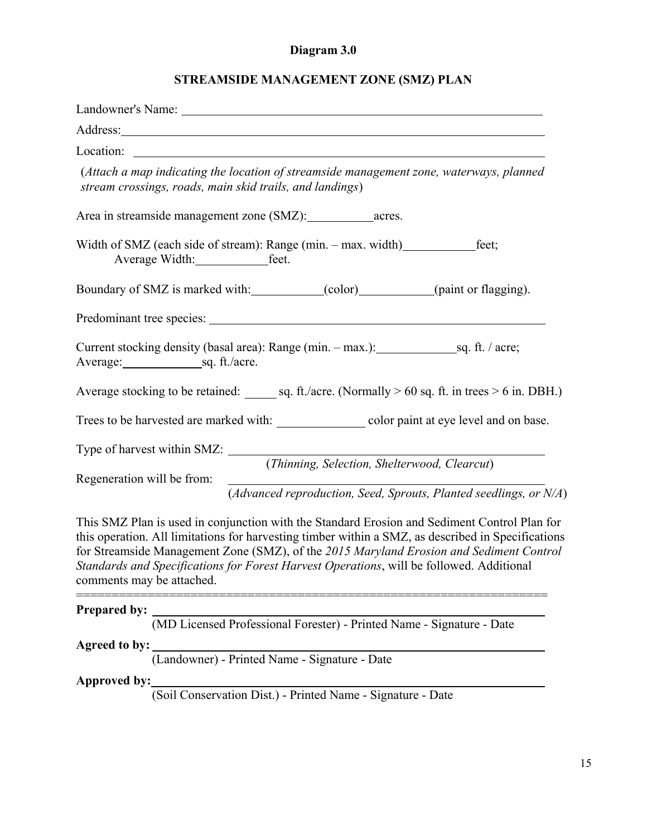#### **Diagram 3.0**

#### **STREAMSIDE MANAGEMENT ZONE (SMZ) PLAN**

| Landowner's Name: University of the Contract of the Contract of the Contract of the Contract of the Contract of the Contract of the Contract of the Contract of the Contract of the Contract of the Contract of the Contract o      |
|-------------------------------------------------------------------------------------------------------------------------------------------------------------------------------------------------------------------------------------|
| Address: <u>Address:</u> Address: Address: Address: Address: Address: Address: Address: Address: Address: Address: Address: Address: Address: Address: Address: Address: Address: Address: Address: Address: Address: Address: Addr |
|                                                                                                                                                                                                                                     |
| (Attach a map indicating the location of streamside management zone, waterways, planned<br>stream crossings, roads, main skid trails, and landings)                                                                                 |
|                                                                                                                                                                                                                                     |
| Width of SMZ (each side of stream): Range (min. - max. width) _______________feet;                                                                                                                                                  |
| Boundary of SMZ is marked with: (color) (cont) (paint or flagging).                                                                                                                                                                 |
|                                                                                                                                                                                                                                     |
| Average: sq. ft./acre.                                                                                                                                                                                                              |
| Average stocking to be retained: sq. ft./acre. (Normally $> 60$ sq. ft. in trees $> 6$ in. DBH.)                                                                                                                                    |
| Trees to be harvested are marked with: color paint at eye level and on base.                                                                                                                                                        |
| Type of harvest within SMZ:                                                                                                                                                                                                         |
| (Thinning, Selection, Shelterwood, Clearcut)<br>Regeneration will be from:                                                                                                                                                          |
| (Advanced reproduction, Seed, Sprouts, Planted seedlings, or $N/A$ )                                                                                                                                                                |

This SMZ Plan is used in conjunction with the Standard Erosion and Sediment Control Plan for this operation. All limitations for harvesting timber within a SMZ, as described in Specifications for Streamside Management Zone (SMZ), of the *2015 Maryland Erosion and Sediment Control Standards and Specifications for Forest Harvest Operations*, will be followed. Additional comments may be attached.

==================================================================

#### **Prepared by:**

(MD Licensed Professional Forester) - Printed Name - Signature - Date

**Agreed to by:** 

(Landowner) - Printed Name - Signature - Date

**Approved by:** 

(Soil Conservation Dist.) - Printed Name - Signature - Date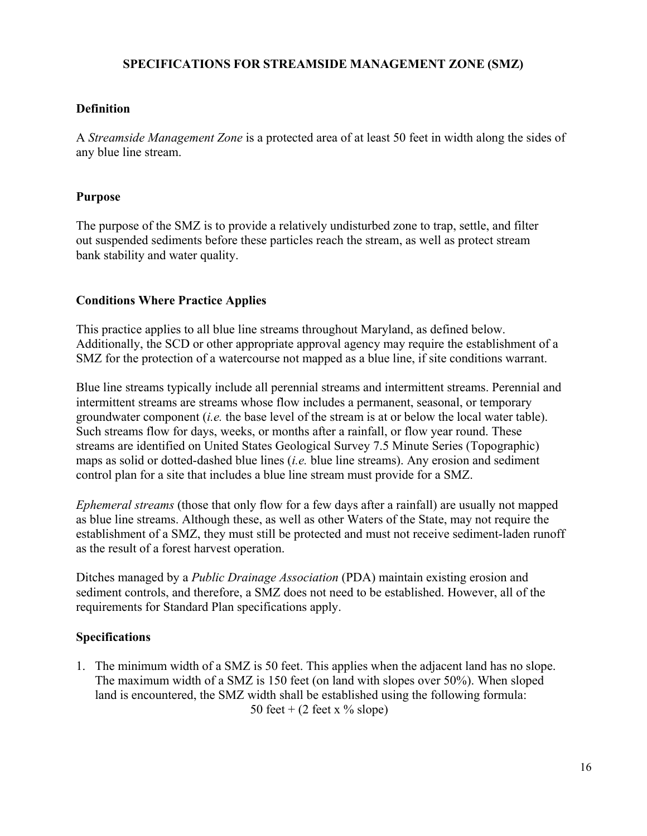#### **SPECIFICATIONS FOR STREAMSIDE MANAGEMENT ZONE (SMZ)**

#### **Definition**

A *Streamside Management Zone* is a protected area of at least 50 feet in width along the sides of any blue line stream.

#### **Purpose**

The purpose of the SMZ is to provide a relatively undisturbed zone to trap, settle, and filter out suspended sediments before these particles reach the stream, as well as protect stream bank stability and water quality.

#### **Conditions Where Practice Applies**

This practice applies to all blue line streams throughout Maryland, as defined below. Additionally, the SCD or other appropriate approval agency may require the establishment of a SMZ for the protection of a watercourse not mapped as a blue line, if site conditions warrant.

Blue line streams typically include all perennial streams and intermittent streams. Perennial and intermittent streams are streams whose flow includes a permanent, seasonal, or temporary groundwater component (*i.e.* the base level of the stream is at or below the local water table). Such streams flow for days, weeks, or months after a rainfall, or flow year round. These streams are identified on United States Geological Survey 7.5 Minute Series (Topographic) maps as solid or dotted-dashed blue lines (*i.e.* blue line streams). Any erosion and sediment control plan for a site that includes a blue line stream must provide for a SMZ.

*Ephemeral streams* (those that only flow for a few days after a rainfall) are usually not mapped as blue line streams. Although these, as well as other Waters of the State, may not require the establishment of a SMZ, they must still be protected and must not receive sediment-laden runoff as the result of a forest harvest operation.

Ditches managed by a *Public Drainage Association* (PDA) maintain existing erosion and sediment controls, and therefore, a SMZ does not need to be established. However, all of the requirements for Standard Plan specifications apply.

### **Specifications**

1. The minimum width of a SMZ is 50 feet. This applies when the adjacent land has no slope. The maximum width of a SMZ is 150 feet (on land with slopes over 50%). When sloped land is encountered, the SMZ width shall be established using the following formula: 50 feet +  $(2 \text{ feet x } \% \text{ slope})$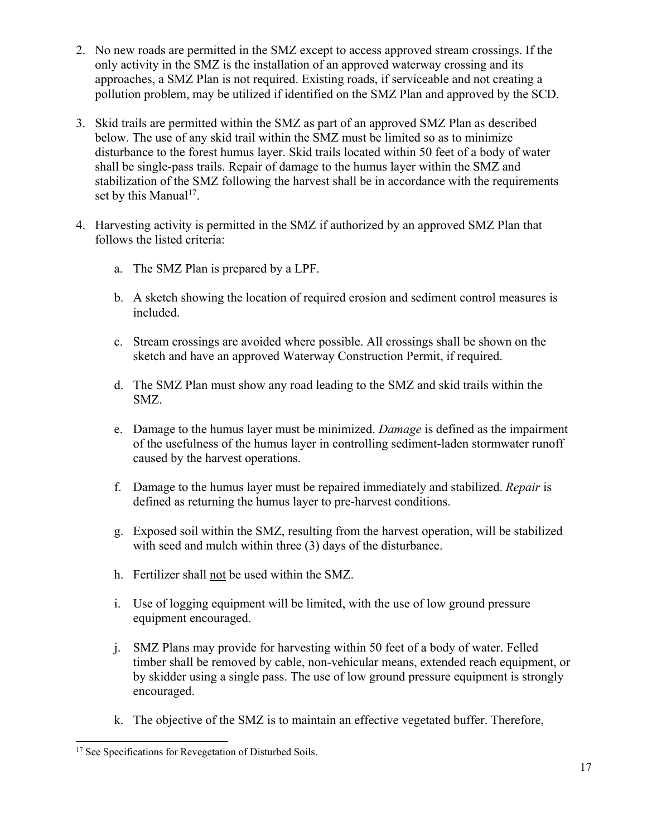- 2. No new roads are permitted in the SMZ except to access approved stream crossings. If the only activity in the SMZ is the installation of an approved waterway crossing and its approaches, a SMZ Plan is not required. Existing roads, if serviceable and not creating a pollution problem, may be utilized if identified on the SMZ Plan and approved by the SCD.
- 3. Skid trails are permitted within the SMZ as part of an approved SMZ Plan as described below. The use of any skid trail within the SMZ must be limited so as to minimize disturbance to the forest humus layer. Skid trails located within 50 feet of a body of water shall be single-pass trails. Repair of damage to the humus layer within the SMZ and stabilization of the SMZ following the harvest shall be in accordance with the requirements set by this Manual<sup>17</sup>.
- 4. Harvesting activity is permitted in the SMZ if authorized by an approved SMZ Plan that follows the listed criteria:
	- a. The SMZ Plan is prepared by a LPF.
	- b. A sketch showing the location of required erosion and sediment control measures is included.
	- c. Stream crossings are avoided where possible. All crossings shall be shown on the sketch and have an approved Waterway Construction Permit, if required.
	- d. The SMZ Plan must show any road leading to the SMZ and skid trails within the SMZ.
	- e. Damage to the humus layer must be minimized. *Damage* is defined as the impairment of the usefulness of the humus layer in controlling sediment-laden stormwater runoff caused by the harvest operations.
	- f. Damage to the humus layer must be repaired immediately and stabilized. *Repair* is defined as returning the humus layer to pre-harvest conditions.
	- g. Exposed soil within the SMZ, resulting from the harvest operation, will be stabilized with seed and mulch within three (3) days of the disturbance.
	- h. Fertilizer shall not be used within the SMZ.
	- i. Use of logging equipment will be limited, with the use of low ground pressure equipment encouraged.
	- j. SMZ Plans may provide for harvesting within 50 feet of a body of water. Felled timber shall be removed by cable, non-vehicular means, extended reach equipment, or by skidder using a single pass. The use of low ground pressure equipment is strongly encouraged.
	- k. The objective of the SMZ is to maintain an effective vegetated buffer. Therefore,

<sup>&</sup>lt;sup>17</sup> See Specifications for Revegetation of Disturbed Soils.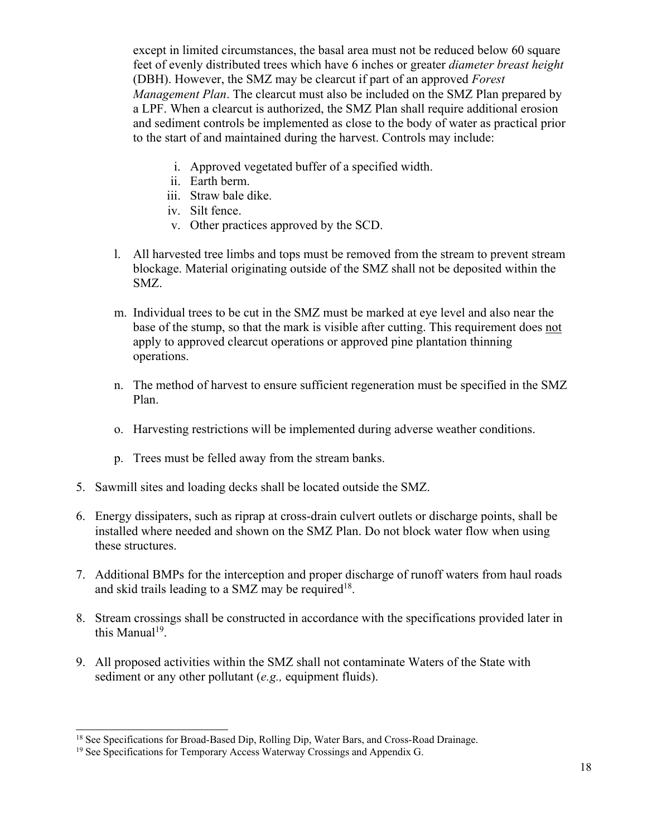except in limited circumstances, the basal area must not be reduced below 60 square feet of evenly distributed trees which have 6 inches or greater *diameter breast height*  (DBH). However, the SMZ may be clearcut if part of an approved *Forest Management Plan*. The clearcut must also be included on the SMZ Plan prepared by a LPF. When a clearcut is authorized, the SMZ Plan shall require additional erosion and sediment controls be implemented as close to the body of water as practical prior to the start of and maintained during the harvest. Controls may include:

- i. Approved vegetated buffer of a specified width.
- ii. Earth berm.
- iii. Straw bale dike.
- iv. Silt fence.
- v. Other practices approved by the SCD.
- l. All harvested tree limbs and tops must be removed from the stream to prevent stream blockage. Material originating outside of the SMZ shall not be deposited within the SMZ.
- m. Individual trees to be cut in the SMZ must be marked at eye level and also near the base of the stump, so that the mark is visible after cutting. This requirement does not apply to approved clearcut operations or approved pine plantation thinning operations.
- n. The method of harvest to ensure sufficient regeneration must be specified in the SMZ Plan.
- o. Harvesting restrictions will be implemented during adverse weather conditions.
- p. Trees must be felled away from the stream banks.
- 5. Sawmill sites and loading decks shall be located outside the SMZ.
- 6. Energy dissipaters, such as riprap at cross-drain culvert outlets or discharge points, shall be installed where needed and shown on the SMZ Plan. Do not block water flow when using these structures.
- 7. Additional BMPs for the interception and proper discharge of runoff waters from haul roads and skid trails leading to a SMZ may be required<sup>18</sup>.
- 8. Stream crossings shall be constructed in accordance with the specifications provided later in this Manual<sup>19</sup>.
- 9. All proposed activities within the SMZ shall not contaminate Waters of the State with sediment or any other pollutant (*e.g.,* equipment fluids).

<sup>&</sup>lt;sup>18</sup> See Specifications for Broad-Based Dip, Rolling Dip, Water Bars, and Cross-Road Drainage.

<sup>&</sup>lt;sup>19</sup> See Specifications for Temporary Access Waterway Crossings and Appendix G.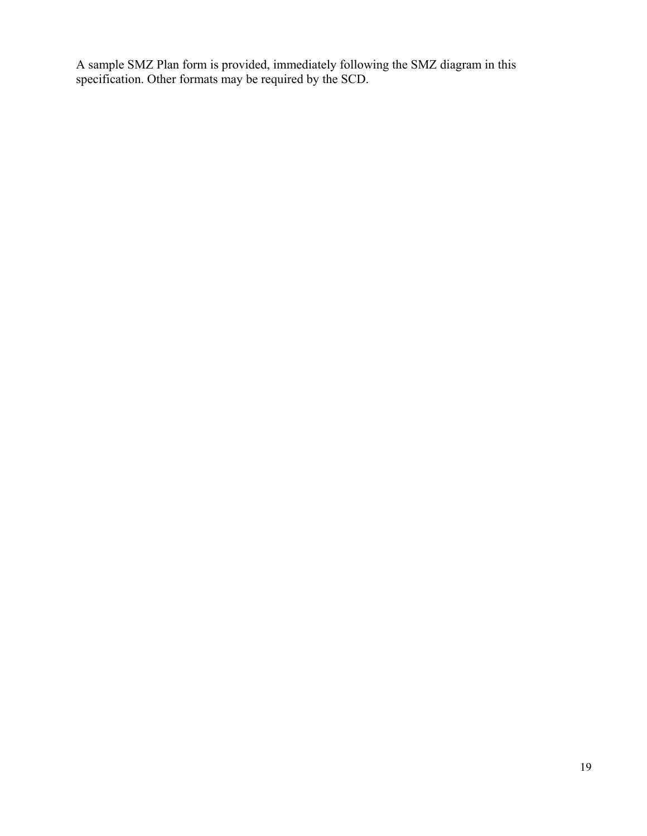A sample SMZ Plan form is provided, immediately following the SMZ diagram in this specification. Other formats may be required by the SCD.